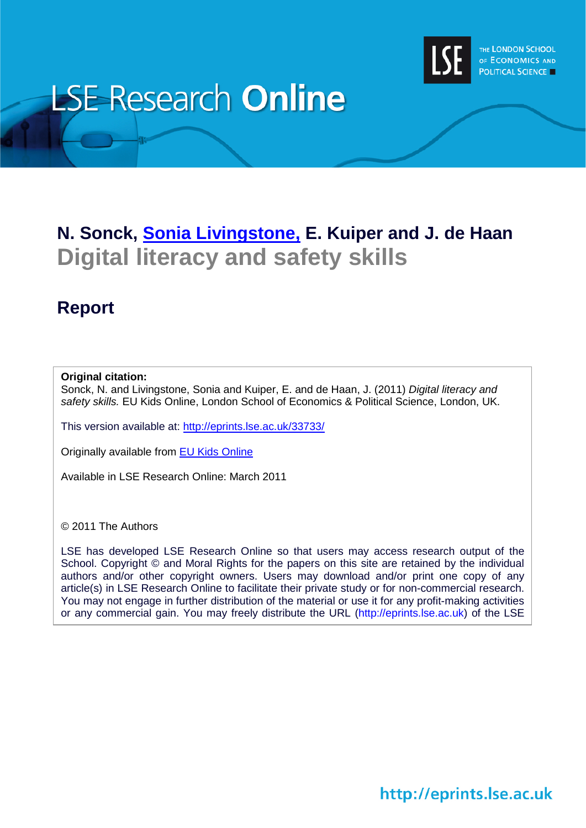

# **LSE Research Online**

# **N. Sonck, [Sonia Livingstone,](http://www2.lse.ac.uk/researchAndExpertise/Experts/profile.aspx?KeyValue=s.livingstone@lse.ac.uk) E. Kuiper and J. de Haan Digital literacy and safety skills**

# **Report**

### **Original citation:**

Sonck, N. and Livingstone, Sonia and Kuiper, E. and de Haan, J. (2011) *Digital literacy and safety skills.* EU Kids Online, London School of Economics & Political Science, London, UK.

This version available at:<http://eprints.lse.ac.uk/33733/>

Originally available from [EU Kids Online](http://www.eukidsonline.net/)

Available in LSE Research Online: March 2011

© 2011 The Authors

j

LSE has developed LSE Research Online so that users may access research output of the School. Copyright © and Moral Rights for the papers on this site are retained by the individual authors and/or other copyright owners. Users may download and/or print one copy of any article(s) in LSE Research Online to facilitate their private study or for non-commercial research. You may not engage in further distribution of the material or use it for any profit-making activities or any commercial gain. You may freely distribute the URL (http://eprints.lse.ac.uk) of the LSE

http://eprints.lse.ac.uk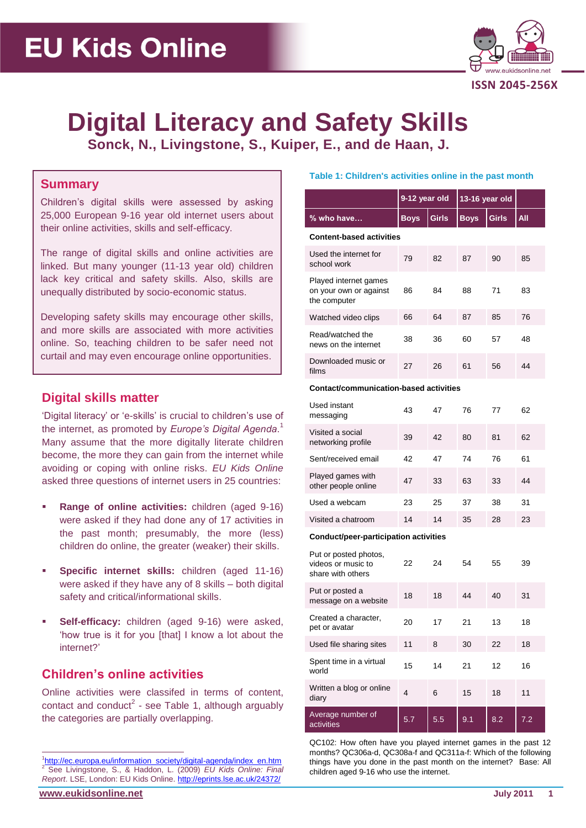

# **Digital Literacy and Safety Skills Sonck, N., Livingstone, S., Kuiper, E., and de Haan, J.**

## **Summary**

Children's digital skills were assessed by asking 25,000 European 9-16 year old internet users about their online activities, skills and self-efficacy.

The range of digital skills and online activities are linked. But many younger (11-13 year old) children lack key critical and safety skills. Also, skills are unequally distributed by socio-economic status.

Developing safety skills may encourage other skills, and more skills are associated with more activities online. So, teaching children to be safer need not curtail and may even encourage online opportunities.

# **Digital skills matter**

'Digital literacy' or 'e-skills' is crucial to children's use of the internet, as promoted by *Europe's Digital Agenda*. 1 Many assume that the more digitally literate children become, the more they can gain from the internet while avoiding or coping with online risks. *EU Kids Online* asked three questions of internet users in 25 countries:

- **Range of online activities:** children (aged 9-16) were asked if they had done any of 17 activities in the past month; presumably, the more (less) children do online, the greater (weaker) their skills.
- **Specific internet skills:** children (aged 11-16) were asked if they have any of 8 skills – both digital safety and critical/informational skills.
- **Self-efficacy:** children (aged 9-16) were asked, 'how true is it for you [that] I know a lot about the internet?'

# **Children's online activities**

Online activities were classifed in terms of content, contact and conduct<sup>2</sup> - see [Table 1,](#page-1-0) although arguably the categories are partially overlapping.

#### <span id="page-1-0"></span>**Table 1: Children's activities online in the past month**

|                                                                                                   | 9-12 year old |              | 13-16 year old |              |     |  |
|---------------------------------------------------------------------------------------------------|---------------|--------------|----------------|--------------|-----|--|
| % who have                                                                                        | Boys          | <b>Girls</b> | <b>Boys</b>    | <b>Girls</b> | All |  |
| <b>Content-based activities</b>                                                                   |               |              |                |              |     |  |
| Used the internet for<br>school work                                                              | 79            | 82           | 87             | 90           | 85  |  |
| Played internet games<br>on your own or against<br>the computer                                   | 86            | 84           | 88             | 71           | 83  |  |
| Watched video clips                                                                               | 66            | 64           | 87             | 85           | 76  |  |
| Read/watched the<br>news on the internet                                                          | 38            | 36           | 60             | 57           | 48  |  |
| Downloaded music or<br>films                                                                      | 27            | 26           | 61             | 56           | 44  |  |
| Contact/communication-based activities                                                            |               |              |                |              |     |  |
| Used instant<br>messaging                                                                         | 43            | 47           | 76             | 77           | 62  |  |
| Visited a social<br>networking profile                                                            | 39            | 42           | 80             | 81           | 62  |  |
| $\mathbf{a} \cdot \mathbf{b}$ and $\mathbf{a} \cdot \mathbf{b}$ and $\mathbf{a} \cdot \mathbf{b}$ |               |              |                |              |     |  |

| Sent/received email                      | 42 | 47 | 74 | 76 | 61 |
|------------------------------------------|----|----|----|----|----|
| Played games with<br>other people online | 47 | 33 | 63 | 33 | 44 |
| Used a webcam                            | 23 | 25 | 37 | 38 | 31 |
| Visited a chatroom                       | 14 | 14 | 35 | 28 | 23 |

**Conduct/peer-participation activities**

| Put or posted photos,<br>videos or music to<br>share with others | 22  | 24  | 54  | 55  | 39  |
|------------------------------------------------------------------|-----|-----|-----|-----|-----|
| Put or posted a<br>message on a website                          | 18  | 18  | 44  | 40  | 31  |
| Created a character,<br>pet or avatar                            | 20  | 17  | 21  | 13  | 18  |
| Used file sharing sites                                          | 11  | 8   | 30  | 22  | 18  |
| Spent time in a virtual<br>world                                 | 15  | 14  | 21  | 12  | 16  |
| Written a blog or online<br>diary                                | 4   | 6   | 15  | 18  | 11  |
| Average number of<br>activities                                  | 5.7 | 5.5 | 9.1 | 8.2 | 7.2 |

QC102: How often have you played internet games in the past 12 months? QC306a-d, QC308a-f and QC311a-f: Which of the following things have you done in the past month on the internet? Base: All children aged 9-16 who use the internet.

 $\overline{a}$ 

<sup>&</sup>lt;sup>1</sup>[http://ec.europa.eu/information\\_society/digital-agenda/index\\_en.htm](http://ec.europa.eu/information_society/digital-agenda/index_en.htm) <sup>2</sup> See Livingstone, S., & Haddon, L. (2009) *EU Kids Online: Final Report*. LSE, London: EU Kids Online[. http://eprints.lse.ac.uk/24372/](https://exchange.lse.ac.uk/exchweb/bin/redir.asp?URL=http://eprints.lse.ac.uk/24372/)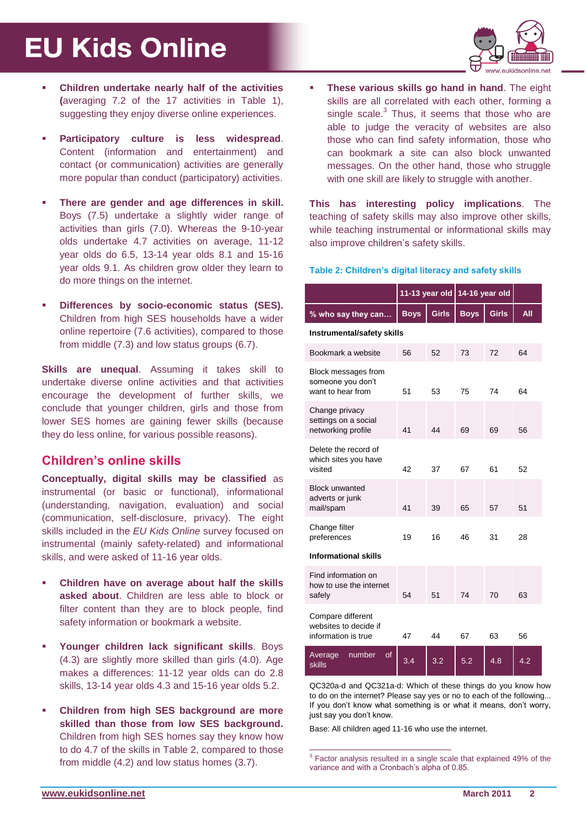# **EU Kids Online**



- **Children undertake nearly half of the activities (**averaging 7.2 of the 17 activities in [Table 1\)](#page-1-0), suggesting they enjoy diverse online experiences.
- **Participatory culture is less widespread**. Content (information and entertainment) and contact (or communication) activities are generally more popular than conduct (participatory) activities.
- **There are gender and age differences in skill.** Boys (7.5) undertake a slightly wider range of activities than girls (7.0). Whereas the 9-10-year olds undertake 4.7 activities on average, 11-12 year olds do 6.5, 13-14 year olds 8.1 and 15-16 year olds 9.1. As children grow older they learn to do more things on the internet.
- **Differences by socio-economic status (SES).**  Children from high SES households have a wider online repertoire (7.6 activities), compared to those from middle (7.3) and low status groups (6.7).

**Skills are unequal**. Assuming it takes skill to undertake diverse online activities and that activities encourage the development of further skills, we conclude that younger children, girls and those from lower SES homes are gaining fewer skills (because they do less online, for various possible reasons).

## **Children's online skills**

**Conceptually, digital skills may be classified** as instrumental (or basic or functional), informational (understanding, navigation, evaluation) and social (communication, self-disclosure, privacy). The eight skills included in the *EU Kids Online* survey focused on instrumental (mainly safety-related) and informational skills, and were asked of 11-16 year olds.

- **Children have on average about half the skills asked about**. Children are less able to block or filter content than they are to block people, find safety information or bookmark a website.
- **Younger children lack significant skills**. Boys (4.3) are slightly more skilled than girls (4.0). Age makes a differences: 11-12 year olds can do 2.8 skills, 13-14 year olds 4.3 and 15-16 year olds 5.2.
- **Children from high SES background are more skilled than those from low SES background.**  Children from high SES homes say they know how to do 4.7 of the skills in [Table 2,](#page-2-0) compared to those from middle (4.2) and low status homes (3.7).

 **These various skills go hand in hand**. The eight skills are all correlated with each other, forming a single scale. $3$  Thus, it seems that those who are able to judge the veracity of websites are also those who can find safety information, those who can bookmark a site can also block unwanted messages. On the other hand, those who struggle with one skill are likely to struggle with another.

**This has interesting policy implications**. The teaching of safety skills may also improve other skills, while teaching instrumental or informational skills may also improve children's safety skills.

### <span id="page-2-0"></span>**Table 2: Children's digital literacy and safety skills**

|                                                                   | 11-13 year old |              | 14-16 year old |              |            |
|-------------------------------------------------------------------|----------------|--------------|----------------|--------------|------------|
| % who say they can                                                | <b>Boys</b>    | <b>Girls</b> | <b>Boys</b>    | <b>Girls</b> | <b>All</b> |
| Instrumental/safety skills                                        |                |              |                |              |            |
| Bookmark a website                                                | 56             | 52           | 73             | 72           | 64         |
| Block messages from<br>someone you don't<br>want to hear from     | 51             | 53           | 75             | 74           | 64         |
| Change privacy<br>settings on a social<br>networking profile      | 41             | 44           | 69             | 69           | 56         |
| Delete the record of<br>which sites you have<br>visited           | 42             | 37           | 67             | 61           | 52         |
| <b>Block unwanted</b><br>adverts or junk<br>mail/spam             | 41             | 39           | 65             | 57           | 51         |
| Change filter<br>preferences                                      | 19             | 16           | 46             | 31           | 28         |
| <b>Informational skills</b>                                       |                |              |                |              |            |
| Find information on<br>how to use the internet<br>safely          | 54             | 51           | 74             | 70           | 63         |
| Compare different<br>websites to decide if<br>information is true | 47             | 44           | 67             | 63           | 56         |
| Average<br>number<br>οf<br><b>skills</b>                          | 3.4            | 3.2          | 5.2            | 4.8          | 4.2        |

QC320a-d and QC321a-d: Which of these things do you know how to do on the internet? Please say yes or no to each of the following... If you don't know what something is or what it means, don't worry, just say you don't know.

Base: All children aged 11-16 who use the internet.

 3 Factor analysis resulted in a single scale that explained 49% of the variance and with a Cronbach's alpha of 0.85.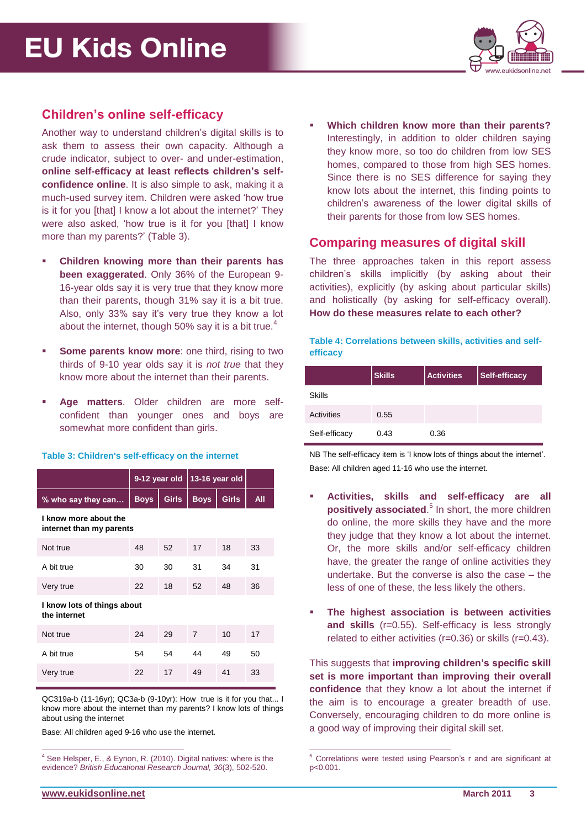

# **Children's online self-efficacy**

Another way to understand children's digital skills is to ask them to assess their own capacity. Although a crude indicator, subject to over- and under-estimation, **online self-efficacy at least reflects children's selfconfidence online**. It is also simple to ask, making it a much-used survey item. Children were asked 'how true is it for you [that] I know a lot about the internet?' They were also asked, 'how true is it for you [that] I know more than my parents?' [\(Table 3\)](#page-3-0).

- **Children knowing more than their parents has been exaggerated**. Only 36% of the European 9- 16-year olds say it is very true that they know more than their parents, though 31% say it is a bit true. Also, only 33% say it's very true they know a lot about the internet, though 50% say it is a bit true.<sup>4</sup>
- **Some parents know more:** one third, rising to two thirds of 9-10 year olds say it is *not true* that they know more about the internet than their parents.
- **Age matters**. Older children are more selfconfident than younger ones and boys are somewhat more confident than girls.

#### <span id="page-3-0"></span>**Table 3: Children's self-efficacy on the internet**

|                                                   | 9-12 year old |              | 13-16 year old |              |     |  |
|---------------------------------------------------|---------------|--------------|----------------|--------------|-----|--|
| % who say they can                                | <b>Boys</b>   | <b>Girls</b> | <b>Boys</b>    | <b>Girls</b> | All |  |
| I know more about the<br>internet than my parents |               |              |                |              |     |  |
| Not true                                          | 48            | 52           | 17             | 18           | 33  |  |
| A bit true                                        | 30            | 30           | 31             | 34           | 31  |  |
| Very true                                         | 22            | 18           | 52             | 48           | 36  |  |
| I know lots of things about<br>the internet       |               |              |                |              |     |  |
| Not true                                          | 24            | 29           | $\overline{7}$ | 10           | 17  |  |
| A bit true                                        | 54            | 54           | 44             | 49           | 50  |  |
| Very true                                         | 22            | 17           | 49             | 41           | 33  |  |

QC319a-b (11-16yr); QC3a-b (9-10yr): How true is it for you that... I know more about the internet than my parents? I know lots of things about using the internet

Base: All children aged 9-16 who use the internet.

 **Which children know more than their parents?**  Interestingly, in addition to older children saying they know more, so too do children from low SES homes, compared to those from high SES homes. Since there is no SES difference for saying they know lots about the internet, this finding points to children's awareness of the lower digital skills of their parents for those from low SES homes.

### **Comparing measures of digital skill**

The three approaches taken in this report assess children's skills implicitly (by asking about their activities), explicitly (by asking about particular skills) and holistically (by asking for self-efficacy overall). **How do these measures relate to each other?**

**Table 4: Correlations between skills, activities and selfefficacy**

|               | <b>Skills</b> | <b>Activities</b> | Self-efficacy |
|---------------|---------------|-------------------|---------------|
| Skills        |               |                   |               |
| Activities    | 0.55          |                   |               |
| Self-efficacy | 0.43          | 0.36              |               |

NB The self-efficacy item is 'I know lots of things about the internet'. Base: All children aged 11-16 who use the internet.

- **Activities, skills and self-efficacy are all positively associated**. 5 In short, the more children do online, the more skills they have and the more they judge that they know a lot about the internet. Or, the more skills and/or self-efficacy children have, the greater the range of online activities they undertake. But the converse is also the case – the less of one of these, the less likely the others.
- **The highest association is between activities and skills** (r=0.55). Self-efficacy is less strongly related to either activities (r=0.36) or skills (r=0.43).

This suggests that **improving children's specific skill set is more important than improving their overall confidence** that they know a lot about the internet if the aim is to encourage a greater breadth of use. Conversely, encouraging children to do more online is a good way of improving their digital skill set.

 $\overline{a}$ 

 $\overline{a}$ 

 $4$  See Helsper, E., & Eynon, R. (2010). Digital natives: where is the evidence? *British Educational Research Journal, 36*(3), 502-520.

<sup>5</sup> Correlations were tested using Pearson's r and are significant at p<0.001.